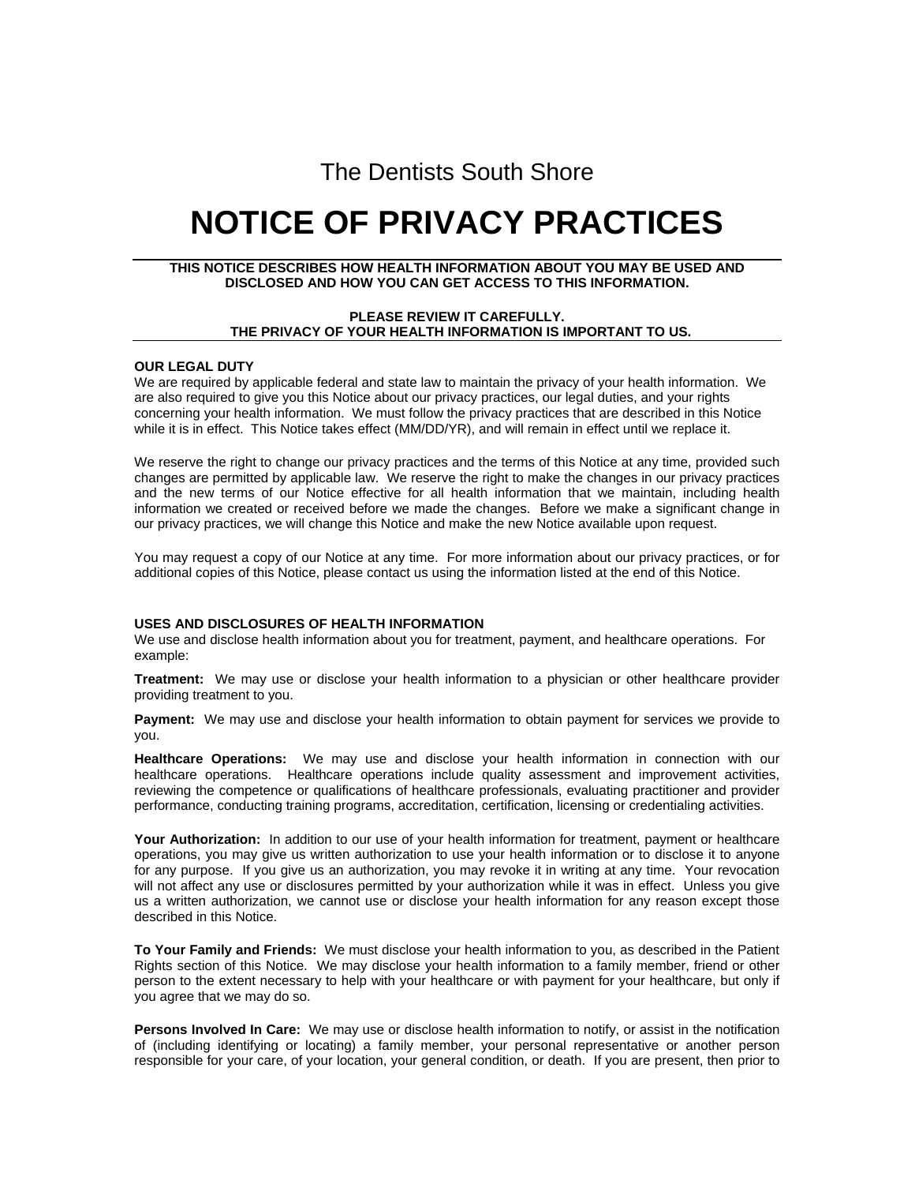# The Dentists South Shore

# **NOTICE OF PRIVACY PRACTICES**

## **THIS NOTICE DESCRIBES HOW HEALTH INFORMATION ABOUT YOU MAY BE USED AND DISCLOSED AND HOW YOU CAN GET ACCESS TO THIS INFORMATION.**

#### **PLEASE REVIEW IT CAREFULLY. THE PRIVACY OF YOUR HEALTH INFORMATION IS IMPORTANT TO US.**

#### **OUR LEGAL DUTY**

We are required by applicable federal and state law to maintain the privacy of your health information. We are also required to give you this Notice about our privacy practices, our legal duties, and your rights concerning your health information. We must follow the privacy practices that are described in this Notice while it is in effect. This Notice takes effect (MM/DD/YR), and will remain in effect until we replace it.

We reserve the right to change our privacy practices and the terms of this Notice at any time, provided such changes are permitted by applicable law. We reserve the right to make the changes in our privacy practices and the new terms of our Notice effective for all health information that we maintain, including health information we created or received before we made the changes. Before we make a significant change in our privacy practices, we will change this Notice and make the new Notice available upon request.

You may request a copy of our Notice at any time. For more information about our privacy practices, or for additional copies of this Notice, please contact us using the information listed at the end of this Notice.

#### **USES AND DISCLOSURES OF HEALTH INFORMATION**

We use and disclose health information about you for treatment, payment, and healthcare operations. For example:

**Treatment:** We may use or disclose your health information to a physician or other healthcare provider providing treatment to you.

**Payment:** We may use and disclose your health information to obtain payment for services we provide to you.

**Healthcare Operations:** We may use and disclose your health information in connection with our healthcare operations. Healthcare operations include quality assessment and improvement activities, reviewing the competence or qualifications of healthcare professionals, evaluating practitioner and provider performance, conducting training programs, accreditation, certification, licensing or credentialing activities.

**Your Authorization:** In addition to our use of your health information for treatment, payment or healthcare operations, you may give us written authorization to use your health information or to disclose it to anyone for any purpose. If you give us an authorization, you may revoke it in writing at any time. Your revocation will not affect any use or disclosures permitted by your authorization while it was in effect. Unless you give us a written authorization, we cannot use or disclose your health information for any reason except those described in this Notice.

**To Your Family and Friends:** We must disclose your health information to you, as described in the Patient Rights section of this Notice. We may disclose your health information to a family member, friend or other person to the extent necessary to help with your healthcare or with payment for your healthcare, but only if you agree that we may do so.

**Persons Involved In Care:** We may use or disclose health information to notify, or assist in the notification of (including identifying or locating) a family member, your personal representative or another person responsible for your care, of your location, your general condition, or death. If you are present, then prior to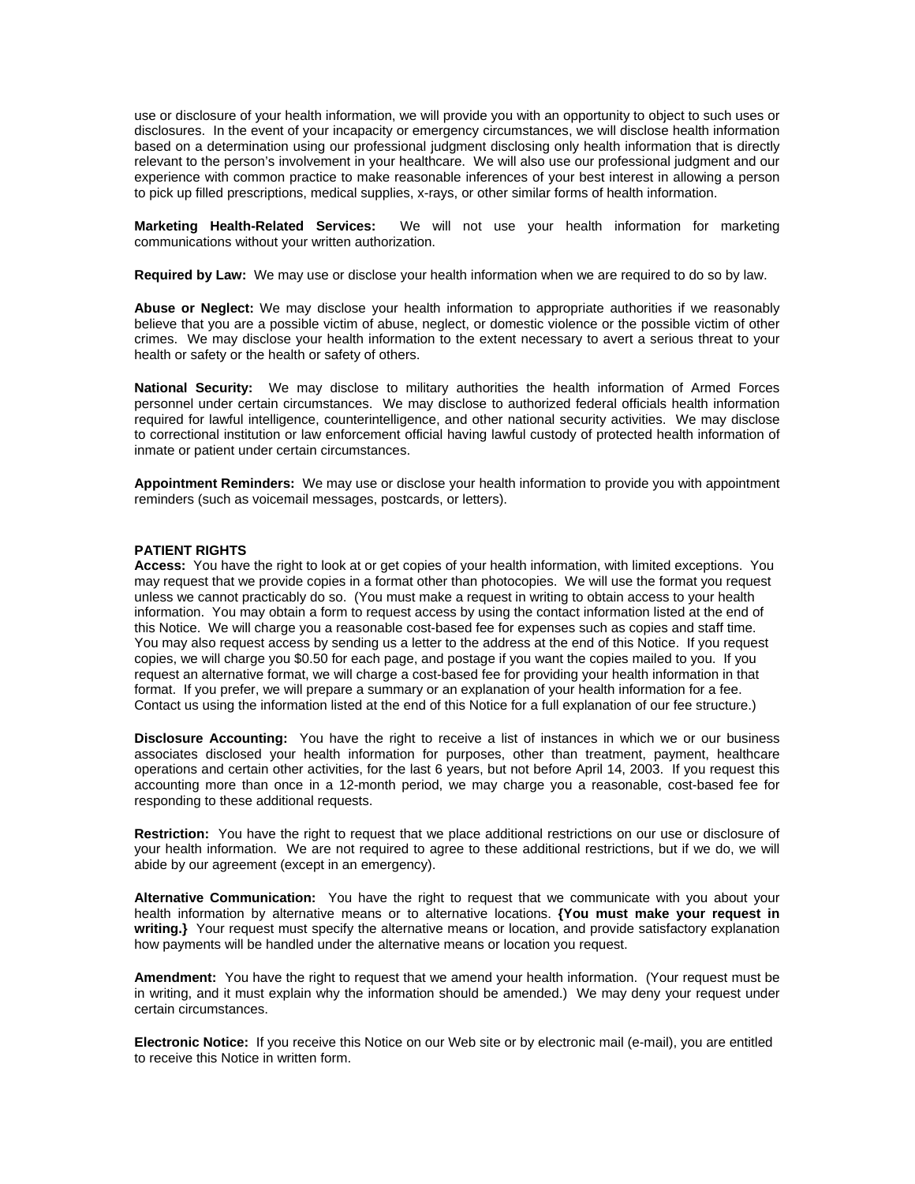use or disclosure of your health information, we will provide you with an opportunity to object to such uses or disclosures. In the event of your incapacity or emergency circumstances, we will disclose health information based on a determination using our professional judgment disclosing only health information that is directly relevant to the person's involvement in your healthcare. We will also use our professional judgment and our experience with common practice to make reasonable inferences of your best interest in allowing a person to pick up filled prescriptions, medical supplies, x-rays, or other similar forms of health information.

**Marketing Health-Related Services:** We will not use your health information for marketing communications without your written authorization.

**Required by Law:** We may use or disclose your health information when we are required to do so by law.

**Abuse or Neglect:** We may disclose your health information to appropriate authorities if we reasonably believe that you are a possible victim of abuse, neglect, or domestic violence or the possible victim of other crimes. We may disclose your health information to the extent necessary to avert a serious threat to your health or safety or the health or safety of others.

**National Security:** We may disclose to military authorities the health information of Armed Forces personnel under certain circumstances. We may disclose to authorized federal officials health information required for lawful intelligence, counterintelligence, and other national security activities. We may disclose to correctional institution or law enforcement official having lawful custody of protected health information of inmate or patient under certain circumstances.

**Appointment Reminders:** We may use or disclose your health information to provide you with appointment reminders (such as voicemail messages, postcards, or letters).

## **PATIENT RIGHTS**

**Access:** You have the right to look at or get copies of your health information, with limited exceptions. You may request that we provide copies in a format other than photocopies. We will use the format you request unless we cannot practicably do so. (You must make a request in writing to obtain access to your health information. You may obtain a form to request access by using the contact information listed at the end of this Notice. We will charge you a reasonable cost-based fee for expenses such as copies and staff time. You may also request access by sending us a letter to the address at the end of this Notice. If you request copies, we will charge you \$0.50 for each page, and postage if you want the copies mailed to you. If you request an alternative format, we will charge a cost-based fee for providing your health information in that format. If you prefer, we will prepare a summary or an explanation of your health information for a fee. Contact us using the information listed at the end of this Notice for a full explanation of our fee structure.)

**Disclosure Accounting:** You have the right to receive a list of instances in which we or our business associates disclosed your health information for purposes, other than treatment, payment, healthcare operations and certain other activities, for the last 6 years, but not before April 14, 2003.If you request this accounting more than once in a 12-month period, we may charge you a reasonable, cost-based fee for responding to these additional requests.

**Restriction:** You have the right to request that we place additional restrictions on our use or disclosure of your health information. We are not required to agree to these additional restrictions, but if we do, we will abide by our agreement (except in an emergency).

**Alternative Communication:** You have the right to request that we communicate with you about your health information by alternative means or to alternative locations. **{You must make your request in writing.}** Your request must specify the alternative means or location, and provide satisfactory explanation how payments will be handled under the alternative means or location you request.

**Amendment:** You have the right to request that we amend your health information. (Your request must be in writing, and it must explain why the information should be amended.) We may deny your request under certain circumstances.

**Electronic Notice:** If you receive this Notice on our Web site or by electronic mail (e-mail), you are entitled to receive this Notice in written form.